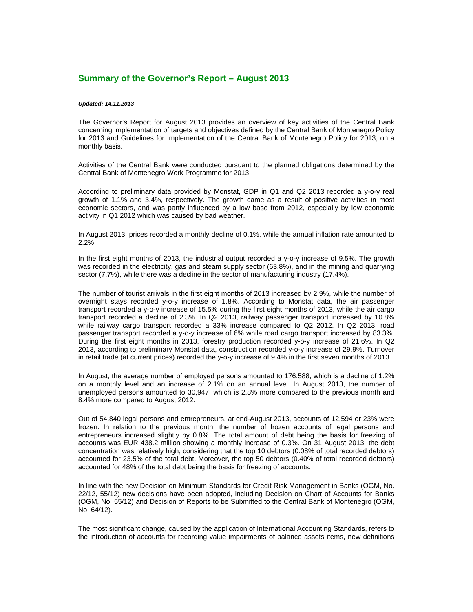## **Summary of the Governor's Report – August 2013**

## *Updated: 14.11.2013*

The Governor's Report for August 2013 provides an overview of key activities of the Central Bank concerning implementation of targets and objectives defined by the Central Bank of Montenegro Policy for 2013 and Guidelines for Implementation of the Central Bank of Montenegro Policy for 2013, on a monthly basis.

Activities of the Central Bank were conducted pursuant to the planned obligations determined by the Central Bank of Montenegro Work Programme for 2013.

According to preliminary data provided by Monstat, GDP in Q1 and Q2 2013 recorded a y-o-y real growth of 1.1% and 3.4%, respectively. The growth came as a result of positive activities in most economic sectors, and was partly influenced by a low base from 2012, especially by low economic activity in Q1 2012 which was caused by bad weather.

In August 2013, prices recorded a monthly decline of 0.1%, while the annual inflation rate amounted to 2.2%.

In the first eight months of 2013, the industrial output recorded a y-o-y increase of 9.5%. The growth was recorded in the electricity, gas and steam supply sector (63.8%), and in the mining and quarrying sector (7.7%), while there was a decline in the sector of manufacturing industry (17.4%).

The number of tourist arrivals in the first eight months of 2013 increased by 2.9%, while the number of overnight stays recorded y-o-y increase of 1.8%. According to Monstat data, the air passenger transport recorded a y-o-y increase of 15.5% during the first eight months of 2013, while the air cargo transport recorded a decline of 2.3%. In Q2 2013, railway passenger transport increased by 10.8% while railway cargo transport recorded a 33% increase compared to Q2 2012. In Q2 2013, road passenger transport recorded a y-o-y increase of 6% while road cargo transport increased by 83.3%. During the first eight months in 2013, forestry production recorded y-o-y increase of 21.6%. In Q2 2013, according to preliminary Monstat data, construction recorded y-o-y increase of 29.9%. Turnover in retail trade (at current prices) recorded the y-o-y increase of 9.4% in the first seven months of 2013.

In August, the average number of employed persons amounted to 176.588, which is a decline of 1.2% on a monthly level and an increase of 2.1% on an annual level. In August 2013, the number of unemployed persons amounted to 30,947, which is 2.8% more compared to the previous month and 8.4% more compared to August 2012.

Out of 54,840 legal persons and entrepreneurs, at end-August 2013, accounts of 12,594 or 23% were frozen. In relation to the previous month, the number of frozen accounts of legal persons and entrepreneurs increased slightly by 0.8%. The total amount of debt being the basis for freezing of accounts was EUR 438.2 million showing a monthly increase of 0.3%. On 31 August 2013, the debt concentration was relatively high, considering that the top 10 debtors (0.08% of total recorded debtors) accounted for 23.5% of the total debt. Moreover, the top 50 debtors (0.40% of total recorded debtors) accounted for 48% of the total debt being the basis for freezing of accounts.

In line with the new Decision on Minimum Standards for Credit Risk Management in Banks (OGM, No. 22/12, 55/12) new decisions have been adopted, including Decision on Chart of Accounts for Banks (OGM, No. 55/12) and Decision of Reports to be Submitted to the Central Bank of Montenegro (OGM, No. 64/12).

The most significant change, caused by the application of International Accounting Standards, refers to the introduction of accounts for recording value impairments of balance assets items, new definitions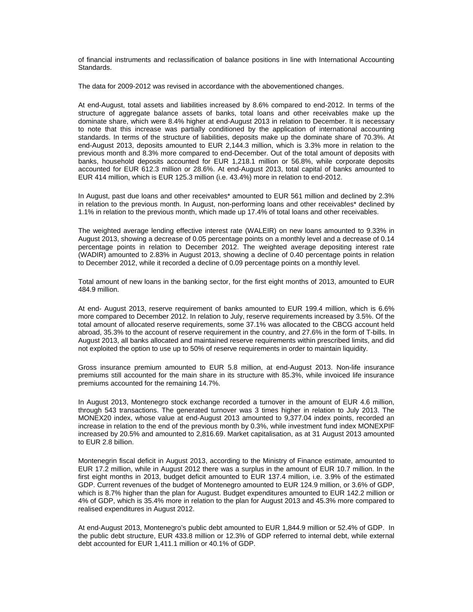of financial instruments and reclassification of balance positions in line with International Accounting Standards.

The data for 2009-2012 was revised in accordance with the abovementioned changes.

At end-August, total assets and liabilities increased by 8.6% compared to end-2012. In terms of the structure of aggregate balance assets of banks, total loans and other receivables make up the dominate share, which were 8.4% higher at end-August 2013 in relation to December. It is necessary to note that this increase was partially conditioned by the application of international accounting standards. In terms of the structure of liabilities, deposits make up the dominate share of 70.3%. At end-August 2013, deposits amounted to EUR 2,144.3 million, which is 3.3% more in relation to the previous month and 8.3% more compared to end-December. Out of the total amount of deposits with banks, household deposits accounted for EUR 1,218.1 million or 56.8%, while corporate deposits accounted for EUR 612.3 million or 28.6%. At end-August 2013, total capital of banks amounted to EUR 414 million, which is EUR 125.3 million (i.e. 43.4%) more in relation to end-2012.

In August, past due loans and other receivables\* amounted to EUR 561 million and declined by 2.3% in relation to the previous month. In August, non-performing loans and other receivables\* declined by 1.1% in relation to the previous month, which made up 17.4% of total loans and other receivables.

The weighted average lending effective interest rate (WALEIR) on new loans amounted to 9.33% in August 2013, showing a decrease of 0.05 percentage points on a monthly level and a decrease of 0.14 percentage points in relation to December 2012. The weighted average depositing interest rate (WADIR) amounted to 2.83% in August 2013, showing a decline of 0.40 percentage points in relation to December 2012, while it recorded a decline of 0.09 percentage points on a monthly level.

Total amount of new loans in the banking sector, for the first eight months of 2013, amounted to EUR 484.9 million.

At end- August 2013, reserve requirement of banks amounted to EUR 199.4 million, which is 6.6% more compared to December 2012. In relation to July, reserve requirements increased by 3.5%. Of the total amount of allocated reserve requirements, some 37.1% was allocated to the CBCG account held abroad, 35.3% to the account of reserve requirement in the country, and 27.6% in the form of T-bills. In August 2013, all banks allocated and maintained reserve requirements within prescribed limits, and did not exploited the option to use up to 50% of reserve requirements in order to maintain liquidity.

Gross insurance premium amounted to EUR 5.8 million, at end-August 2013. Non-life insurance premiums still accounted for the main share in its structure with 85.3%, while invoiced life insurance premiums accounted for the remaining 14.7%.

In August 2013, Montenegro stock exchange recorded a turnover in the amount of EUR 4.6 million, through 543 transactions. The generated turnover was 3 times higher in relation to July 2013. The MONEX20 index, whose value at end-August 2013 amounted to 9,377.04 index points, recorded an increase in relation to the end of the previous month by 0.3%, while investment fund index MONEXPIF increased by 20.5% and amounted to 2,816.69. Market capitalisation, as at 31 August 2013 amounted to EUR 2.8 billion.

Montenegrin fiscal deficit in August 2013, according to the Ministry of Finance estimate, amounted to EUR 17.2 million, while in August 2012 there was a surplus in the amount of EUR 10.7 million. In the first eight months in 2013, budget deficit amounted to EUR 137.4 million, i.e. 3.9% of the estimated GDP. Current revenues of the budget of Montenegro amounted to EUR 124.9 million, or 3.6% of GDP, which is 8.7% higher than the plan for August. Budget expenditures amounted to EUR 142.2 million or 4% of GDP, which is 35.4% more in relation to the plan for August 2013 and 45.3% more compared to realised expenditures in August 2012.

At end-August 2013, Montenegro's public debt amounted to EUR 1,844.9 million or 52.4% of GDP. In the public debt structure, EUR 433.8 million or 12.3% of GDP referred to internal debt, while external debt accounted for EUR 1,411.1 million or 40.1% of GDP.